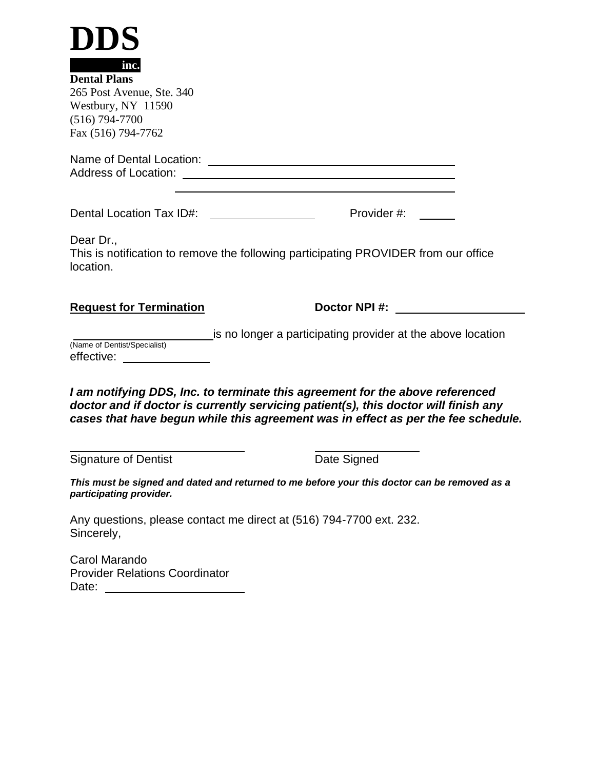| DDS                                                                                                                        |                                                                                                                                                                                                                                                           |  |
|----------------------------------------------------------------------------------------------------------------------------|-----------------------------------------------------------------------------------------------------------------------------------------------------------------------------------------------------------------------------------------------------------|--|
| inc.<br><b>Dental Plans</b><br>265 Post Avenue, Ste. 340<br>Westbury, NY 11590<br>$(516) 794 - 7700$<br>Fax (516) 794-7762 |                                                                                                                                                                                                                                                           |  |
|                                                                                                                            |                                                                                                                                                                                                                                                           |  |
|                                                                                                                            | Provider #:                                                                                                                                                                                                                                               |  |
| Dear Dr.,<br>location.                                                                                                     | This is notification to remove the following participating PROVIDER from our office                                                                                                                                                                       |  |
| <b>Request for Termination</b>                                                                                             | Doctor NPI #:                                                                                                                                                                                                                                             |  |
| (Name of Dentist/Specialist)<br>effective: _____________                                                                   | is no longer a participating provider at the above location                                                                                                                                                                                               |  |
|                                                                                                                            | I am notifying DDS, Inc. to terminate this agreement for the above referenced<br>doctor and if doctor is currently servicing patient(s), this doctor will finish any<br>cases that have begun while this agreement was in effect as per the fee schedule. |  |
| <b>Signature of Dentist</b>                                                                                                | Date Signed                                                                                                                                                                                                                                               |  |
| participating provider.                                                                                                    | This must be signed and dated and returned to me before your this doctor can be removed as a                                                                                                                                                              |  |
| Sincerely,                                                                                                                 | Any questions, please contact me direct at (516) 794-7700 ext. 232.                                                                                                                                                                                       |  |
| Carol Marando<br><b>Provider Relations Coordinator</b><br>Date:<br><u> 1989 - Jan Samuel Barbara, martin d</u>             |                                                                                                                                                                                                                                                           |  |
|                                                                                                                            |                                                                                                                                                                                                                                                           |  |